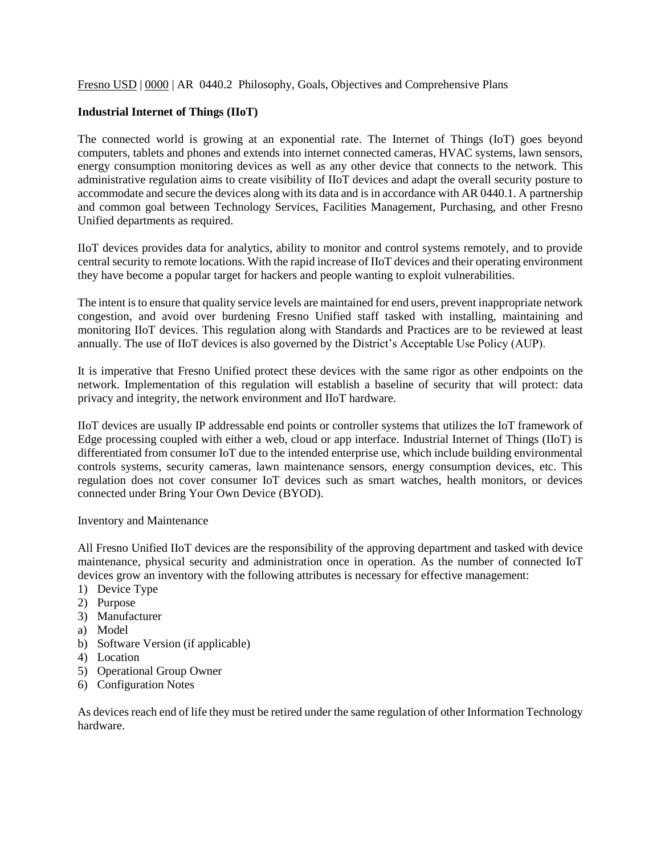## Fresno USD | 0000 | AR 0440.2 Philosophy, Goals, Objectives and Comprehensive Plans

## **Industrial Internet of Things (IIoT)**

The connected world is growing at an exponential rate. The Internet of Things (IoT) goes beyond computers, tablets and phones and extends into internet connected cameras, HVAC systems, lawn sensors, energy consumption monitoring devices as well as any other device that connects to the network. This administrative regulation aims to create visibility of IIoT devices and adapt the overall security posture to accommodate and secure the devices along with its data and is in accordance with AR 0440.1. A partnership and common goal between Technology Services, Facilities Management, Purchasing, and other Fresno Unified departments as required.

IIoT devices provides data for analytics, ability to monitor and control systems remotely, and to provide central security to remote locations. With the rapid increase of IIoT devices and their operating environment they have become a popular target for hackers and people wanting to exploit vulnerabilities.

The intent is to ensure that quality service levels are maintained for end users, prevent inappropriate network congestion, and avoid over burdening Fresno Unified staff tasked with installing, maintaining and monitoring IIoT devices. This regulation along with Standards and Practices are to be reviewed at least annually. The use of IIoT devices is also governed by the District's Acceptable Use Policy (AUP).

It is imperative that Fresno Unified protect these devices with the same rigor as other endpoints on the network. Implementation of this regulation will establish a baseline of security that will protect: data privacy and integrity, the network environment and IIoT hardware.

IIoT devices are usually IP addressable end points or controller systems that utilizes the IoT framework of Edge processing coupled with either a web, cloud or app interface. Industrial Internet of Things (IIoT) is differentiated from consumer IoT due to the intended enterprise use, which include building environmental controls systems, security cameras, lawn maintenance sensors, energy consumption devices, etc. This regulation does not cover consumer IoT devices such as smart watches, health monitors, or devices connected under Bring Your Own Device (BYOD).

Inventory and Maintenance

All Fresno Unified IIoT devices are the responsibility of the approving department and tasked with device maintenance, physical security and administration once in operation. As the number of connected IoT devices grow an inventory with the following attributes is necessary for effective management:

- 1) Device Type
- 2) Purpose
- 3) Manufacturer
- a) Model
- b) Software Version (if applicable)
- 4) Location
- 5) Operational Group Owner
- 6) Configuration Notes

As devices reach end of life they must be retired under the same regulation of other Information Technology hardware.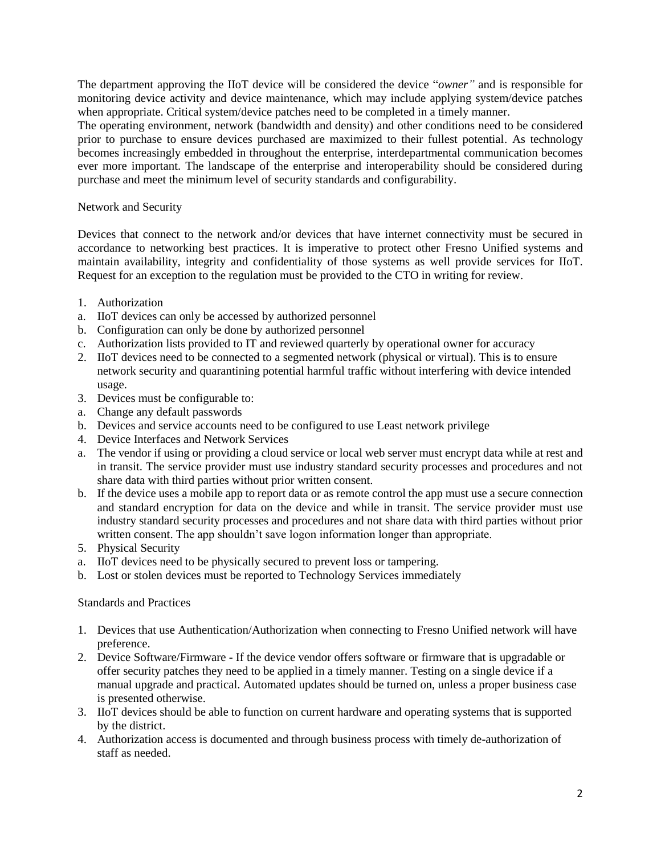The department approving the IIoT device will be considered the device "*owner"* and is responsible for monitoring device activity and device maintenance, which may include applying system/device patches when appropriate. Critical system/device patches need to be completed in a timely manner.

The operating environment, network (bandwidth and density) and other conditions need to be considered prior to purchase to ensure devices purchased are maximized to their fullest potential. As technology becomes increasingly embedded in throughout the enterprise, interdepartmental communication becomes ever more important. The landscape of the enterprise and interoperability should be considered during purchase and meet the minimum level of security standards and configurability.

## Network and Security

Devices that connect to the network and/or devices that have internet connectivity must be secured in accordance to networking best practices. It is imperative to protect other Fresno Unified systems and maintain availability, integrity and confidentiality of those systems as well provide services for IIoT. Request for an exception to the regulation must be provided to the CTO in writing for review.

- 1. Authorization
- a. IIoT devices can only be accessed by authorized personnel
- b. Configuration can only be done by authorized personnel
- c. Authorization lists provided to IT and reviewed quarterly by operational owner for accuracy
- 2. IIoT devices need to be connected to a segmented network (physical or virtual). This is to ensure network security and quarantining potential harmful traffic without interfering with device intended usage.
- 3. Devices must be configurable to:
- a. Change any default passwords
- b. Devices and service accounts need to be configured to use Least network privilege
- 4. Device Interfaces and Network Services
- a. The vendor if using or providing a cloud service or local web server must encrypt data while at rest and in transit. The service provider must use industry standard security processes and procedures and not share data with third parties without prior written consent.
- b. If the device uses a mobile app to report data or as remote control the app must use a secure connection and standard encryption for data on the device and while in transit. The service provider must use industry standard security processes and procedures and not share data with third parties without prior written consent. The app shouldn't save logon information longer than appropriate.
- 5. Physical Security
- a. IIoT devices need to be physically secured to prevent loss or tampering.
- b. Lost or stolen devices must be reported to Technology Services immediately

## Standards and Practices

- 1. Devices that use Authentication/Authorization when connecting to Fresno Unified network will have preference.
- 2. Device Software/Firmware If the device vendor offers software or firmware that is upgradable or offer security patches they need to be applied in a timely manner. Testing on a single device if a manual upgrade and practical. Automated updates should be turned on, unless a proper business case is presented otherwise.
- 3. IIoT devices should be able to function on current hardware and operating systems that is supported by the district.
- 4. Authorization access is documented and through business process with timely de-authorization of staff as needed.